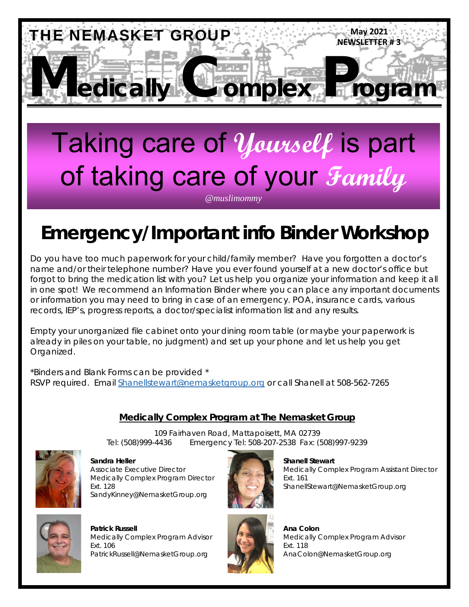

# Taking care of **Yourself** is part of taking care of your **Family**

*@muslimommy* 

# **Emergency/Important info Binder Workshop**

 records, IEP's, progress reports, a doctor/specialist information list and any results. Do you have too much paperwork for your child/family member? Have you forgotten a doctor's name and/or their telephone number? Have you ever found yourself at a new doctor's office but forgot to bring the medication list with you? Let us help you organize your information and keep it all in one spot! We recommend an Information Binder where you can place any important documents or information you may need to bring in case of an emergency. POA, insurance cards, various

Empty your unorganized file cabinet onto your dining room table (or maybe your paperwork is already in piles on your table, no judgment) and set up your phone and let us help you get Organized.

\*Binders and Blank Forms can be provided \* RSVP required. Email Shanellstewart@nemasketgroup.org or call Shanell at 508-562-7265

#### **Medically Complex Program at The Nemasket Group**

109 Fairhaven Road, Mattapoisett, MA 02739 Tel: (508)999-4436 Emergency Tel: 508-207-2538 Fax: (508)997-9239



**Sandra Heller Shanell Stewart All Shanell Stewart**  Shanell Stewart Medically Complex Program Director **Ext. 161** Ext. 161 SandyKinney@NemasketGroup.org



Associate Executive Director Medically Complex Program Assistant Director Ext. 128 ShanellStewart@NemasketGroup.org



 **Patrick Russell Analysis Colon** Medically Complex Program Advisor Medically Complex Program Advisor Ext. 106 Ext. 106 Ext. 106 Ext. 106 PatrickRussell@NemasketGroup.org AnaColon@NemasketGroup.org

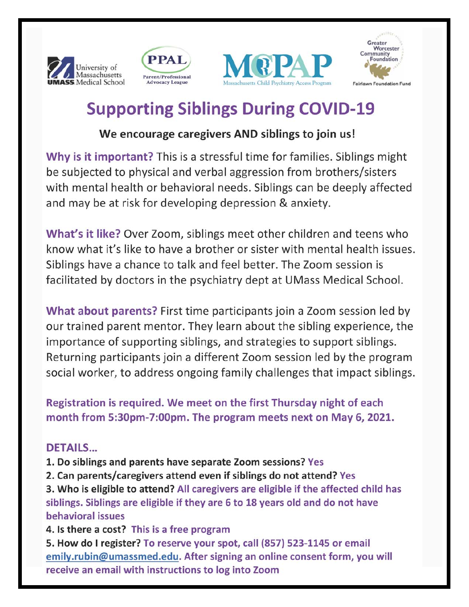







### **Supporting Siblings During COVID-19**

#### We encourage caregivers AND siblings to join us!

Why is it important? This is a stressful time for families. Siblings might be subjected to physical and verbal aggression from brothers/sisters with mental health or behavioral needs. Siblings can be deeply affected and may be at risk for developing depression & anxiety.

What's it like? Over Zoom, siblings meet other children and teens who know what it's like to have a brother or sister with mental health issues. Siblings have a chance to talk and feel better. The Zoom session is facilitated by doctors in the psychiatry dept at UMass Medical School.

What about parents? First time participants join a Zoom session led by our trained parent mentor. They learn about the sibling experience, the importance of supporting siblings, and strategies to support siblings. Returning participants join a different Zoom session led by the program social worker, to address ongoing family challenges that impact siblings.

Registration is required. We meet on the first Thursday night of each month from 5:30pm-7:00pm. The program meets next on May 6, 2021.

#### **DETAILS...**

- 1. Do siblings and parents have separate Zoom sessions? Yes
- 2. Can parents/caregivers attend even if siblings do not attend? Yes

3. Who is eligible to attend? All caregivers are eligible if the affected child has siblings. Siblings are eligible if they are 6 to 18 years old and do not have behavioral issues

4. Is there a cost? This is a free program

5. How do I register? To reserve your spot, call (857) 523-1145 or email emily.rubin@umassmed.edu. After signing an online consent form, you will receive an email with instructions to log into Zoom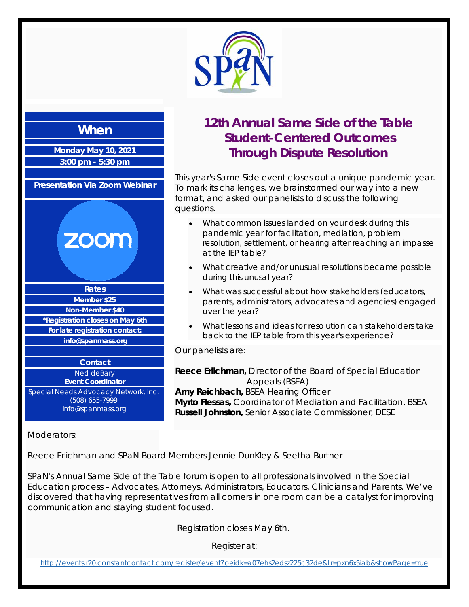

#### **When**

**Monday May 10, 2021 3:00 pm - 5:30 pm** 

**Presentation Via Zoom Webinar**

# **ZOOM**

**Rates Member \$25 Non-Member \$40 \*Registration closes on May 6th For late registration contact: info@spanmass.org Contact** Ned deBary

**Event Coordinator** Special Needs Advocacy Network, Inc. (508) 655-7999

info@spanmass.org

#### Moderators:

**12th Annual Same Side of the Table Student-Centered Outcomes Through Dispute Resolution**

This year's Same Side event closes out a unique pandemic year. To mark its challenges, we brainstormed our way into a new format, and asked our panelists to discuss the following questions.

- What common issues landed on your desk during this pandemic year for facilitation, mediation, problem resolution, settlement, or hearing after reaching an impasse at the IEP table?
- What creative and/or unusual resolutions became possible during this unusal year?
- What was successful about how stakeholders (educators, parents, administrators, advocates and agencies) engaged over the year?
- What lessons and ideas for resolution can stakeholders take back to the IEP table from this year's experience?

Our panelists are:

**Reece Erlichman,** Director of the Board of Special Education Appeals (BSEA) **Amy Reichbach,** BSEA Hearing Officer **Myrto Flessas,** Coordinator of Mediation and Facilitation, BSEA **Russell Johnston,** Senior Associate Commissioner, DESE

Reece Erlichman and SPaN Board Members Jennie DunKley & Seetha Burtner

SPaN's Annual Same Side of the Table forum is open to all professionals involved in the Special Education process – Advocates, Attorneys, Administrators, Educators, Clinicians and Parents. We've discovered that having representatives from all corners in one room can be a catalyst for improving communication and staying student focused.

Registration closes May 6th.

Register at:

http://events.r20.constantcontact.com/register/event?oeidk=a07ehs2edsz225c32de&llr=pxn6x5iab&showPage=true